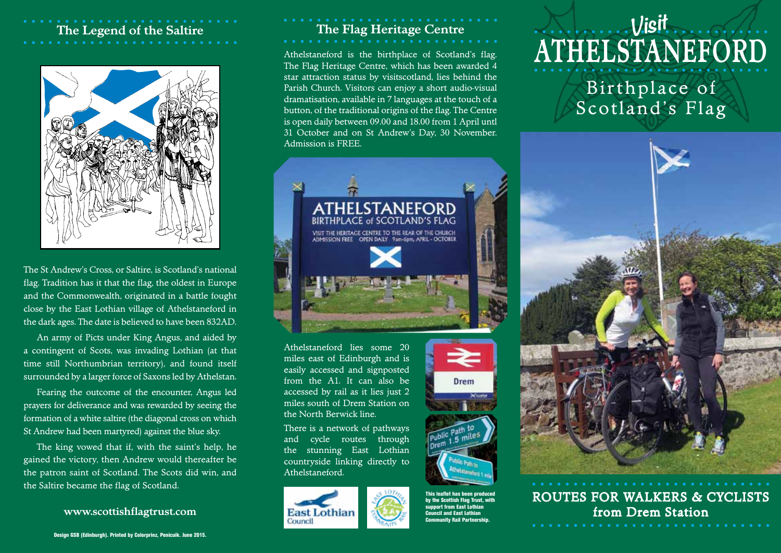## **The Legend of the Saltire**



The St Andrew's Cross, or Saltire, is Scotland's national flag. Tradition has it that the flag, the oldest in Europe and the Commonwealth, originated in a battle fought close by the East Lothian village of Athelstaneford in the dark ages. The date is believed to have been 832AD.

An army of Picts under King Angus, and aided by a contingent of Scots, was invading Lothian (at that time still Northumbrian territory), and found itself surrounded by a larger force of Saxons led by Athelstan.

Fearing the outcome of the encounter, Angus led prayers for deliverance and was rewarded by seeing the formation of a white saltire (the diagonal cross on which St Andrew had been martyred) against the blue sky.

The king vowed that if, with the saint's help, he gained the victory, then Andrew would thereafter be the patron saint of Scotland. The Scots did win, and the Saltire became the flag of Scotland.

## **The Flag Heritage Centre**

Athelstaneford is the birthplace of Scotland's flag. The Flag Heritage Centre, which has been awarded 4 star attraction status by visitscotland, lies behind the Parish Church. Visitors can enjoy a short audio-visual dramatisation, available in 7 languages at the touch of a button, of the traditional origins of the flag. The Centre is open daily between 09.00 and 18.00 from 1 April untl 31 October and on St Andrew's Day, 30 November. Admission is FREE.



Athelstaneford lies some 20 miles east of Edinburgh and is easily accessed and signposted from the A1. It can also be accessed by rail as it lies just 2 miles south of Drem Station on the North Berwick line.

There is a network of pathways and cycle routes through the stunning East Lothian countryside linking directly to Athelstaneford.





This leaflet has been produced by the Scottish Flag Trust, with support from East Lothian Council and East Lothian Community Rail Partnership.

## **ATHELSTANEFORD** Bir thplace of Scotland's Flag **Visit**



ROUTES FOR WALKERS & CYCLISTS **www.scottishflagtrust.com FactLE Forthigh Exit Legislation from Drem Station**